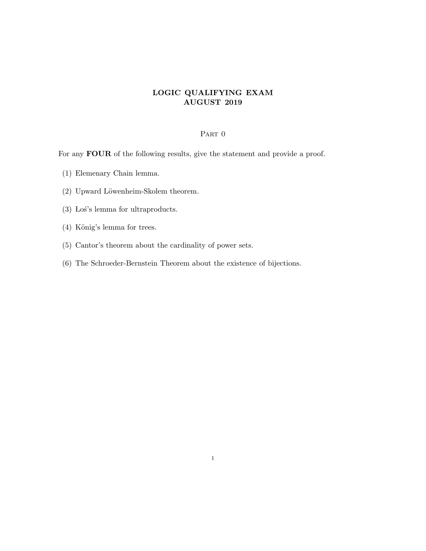## LOGIC QUALIFYING EXAM AUGUST 2019

## PART 0

For any FOUR of the following results, give the statement and provide a proof.

- (1) Elemenary Chain lemma.
- (2) Upward Löwenheim-Skolem theorem.
- $(3)$  Los's lemma for ultraproducts.
- $(4)$  König's lemma for trees.
- (5) Cantor's theorem about the cardinality of power sets.
- (6) The Schroeder-Bernstein Theorem about the existence of bijections.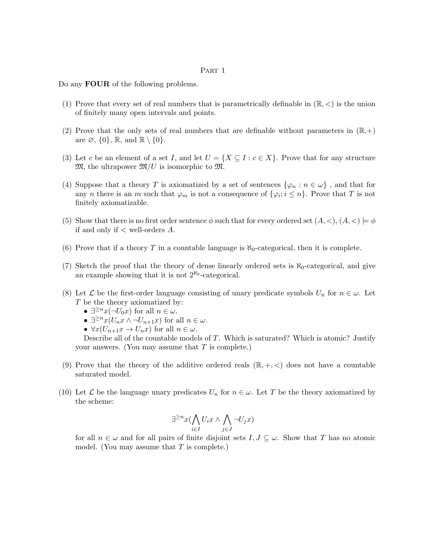## PART 1

Do any **FOUR** of the following problems.

- (1) Prove that every set of real numbers that is parametrically definable in  $(\mathbb{R}, \leq)$  is the union of finitely many open intervals and points.
- (2) Prove that the only sets of real numbers that are definable without parameters in  $(\mathbb{R},+)$ are  $\emptyset$ ,  $\{0\}$ ,  $\mathbb{R}$ , and  $\mathbb{R} \setminus \{0\}$ .
- (3) Let c be an element of a set I, and let  $U = \{X \subseteq I : c \in X\}$ . Prove that for any structure  $\mathfrak{M}$ , the ultrapower  $\mathfrak{M}/U$  is isomorphic to  $\mathfrak{M}$ .
- (4) Suppose that a theory T is axiomatized by a set of sentences  $\{\varphi_n : n \in \omega\}$ , and that for any *n* there is an *m* such that  $\varphi_m$  is not a consequence of  $\{\varphi_i; i \leq n\}$ . Prove that *T* is not finitely axiomatizable.
- (5) Show that there is no first order sentence  $\phi$  such that for every ordered set  $(A, <), (A, <) \models \phi$ if and only if  $\lt$  well-orders  $A$ .
- (6) Prove that if a theory T in a countable language is  $\aleph_0$ -categorical, then it is complete.
- (7) Sketch the proof that the theory of dense linearly ordered sets is  $\aleph_0$ -categorical, and give an example showing that it is not  $2^{\aleph_0}$ -categorical.
- (8) Let  $\mathcal L$  be the first-order language consisting of unary predicate symbols  $U_n$  for  $n \in \omega$ . Let T be the theory axiomatized by:
	- $\exists^{\geq n} x (\neg U_0 x)$  for all  $n \in \omega$ .
	- $\exists^{\geq n} x(U_n x \wedge \neg U_{n+1} x)$  for all  $n \in \omega$ .
	- $\forall x (U_{n+1}x \to U_nx)$  for all  $n \in \omega$ .

Describe all of the countable models of  $T$ . Which is saturated? Which is atomic? Justify your answers. (You may assume that  $T$  is complete.)

- (9) Prove that the theory of the additive ordered reals  $(\mathbb{R}, +, <)$  does not have a countable saturated model.
- (10) Let  $\mathcal L$  be the language unary predicates  $U_n$  for  $n \in \omega$ . Let T be the theory axiomatized by the scheme:

$$
\exists^{\geq n} x (\bigwedge_{i \in I} U_i x \wedge \bigwedge_{j \in J} \neg U_j x)
$$

for all  $n \in \omega$  and for all pairs of finite disjoint sets  $I, J \subseteq \omega$ . Show that T has no atomic model. (You may assume that  $T$  is complete.)